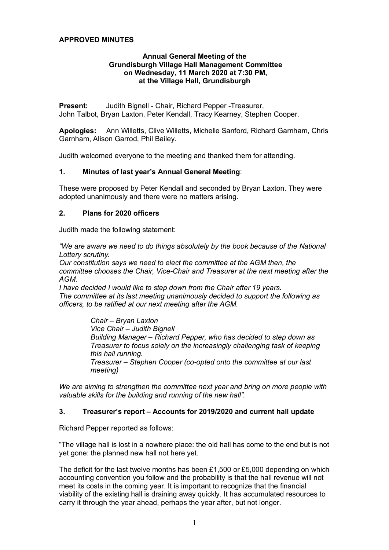## **APPROVED MINUTES**

### **Annual General Meeting of the Grundisburgh Village Hall Management Committee on Wednesday, 11 March 2020 at 7:30 PM, at the Village Hall, Grundisburgh**

**Present:** Judith Bignell - Chair, Richard Pepper -Treasurer, John Talbot, Bryan Laxton, Peter Kendall, Tracy Kearney, Stephen Cooper.

**Apologies:** Ann Willetts, Clive Willetts, Michelle Sanford, Richard Garnham, Chris Garnham, Alison Garrod, Phil Bailey.

Judith welcomed everyone to the meeting and thanked them for attending.

### **1. Minutes of last year's Annual General Meeting**:

These were proposed by Peter Kendall and seconded by Bryan Laxton. They were adopted unanimously and there were no matters arising.

### **2. Plans for 2020 officers**

Judith made the following statement:

*"We are aware we need to do things absolutely by the book because of the National Lottery scrutiny.*

*Our constitution says we need to elect the committee at the AGM then, the committee chooses the Chair, Vice-Chair and Treasurer at the next meeting after the AGM.*

*I have decided I would like to step down from the Chair after 19 years. The committee at its last meeting unanimously decided to support the following as officers, to be ratified at our next meeting after the AGM.*

> *Chair – Bryan Laxton Vice Chair – Judith Bignell Building Manager – Richard Pepper, who has decided to step down as Treasurer to focus solely on the increasingly challenging task of keeping this hall running. Treasurer – Stephen Cooper (co-opted onto the committee at our last meeting)*

*We are aiming to strengthen the committee next year and bring on more people with valuable skills for the building and running of the new hall".*

### **3. Treasurer's report – Accounts for 2019/2020 and current hall update**

Richard Pepper reported as follows:

"The village hall is lost in a nowhere place: the old hall has come to the end but is not yet gone: the planned new hall not here yet.

The deficit for the last twelve months has been £1,500 or £5,000 depending on which accounting convention you follow and the probability is that the hall revenue will not meet its costs in the coming year. It is important to recognize that the financial viability of the existing hall is draining away quickly. It has accumulated resources to carry it through the year ahead, perhaps the year after, but not longer.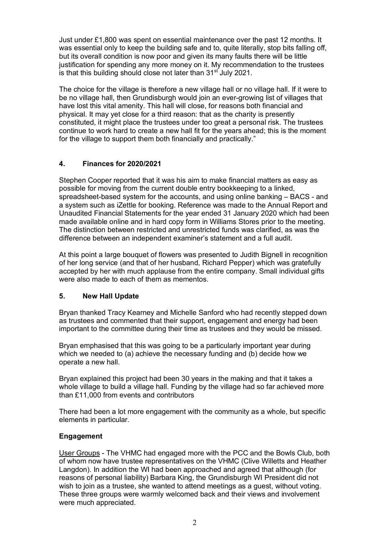Just under £1,800 was spent on essential maintenance over the past 12 months. It was essential only to keep the building safe and to, quite literally, stop bits falling off, but its overall condition is now poor and given its many faults there will be little justification for spending any more money on it. My recommendation to the trustees is that this building should close not later than 31<sup>st</sup> July 2021.

The choice for the village is therefore a new village hall or no village hall. If it were to be no village hall, then Grundisburgh would join an ever-growing list of villages that have lost this vital amenity. This hall will close, for reasons both financial and physical. It may yet close for a third reason: that as the charity is presently constituted, it might place the trustees under too great a personal risk. The trustees continue to work hard to create a new hall fit for the years ahead; this is the moment for the village to support them both financially and practically."

# **4. Finances for 2020/2021**

Stephen Cooper reported that it was his aim to make financial matters as easy as possible for moving from the current double entry bookkeeping to a linked, spreadsheet-based system for the accounts, and using online banking – BACS - and a system such as iZettle for booking. Reference was made to the Annual Report and Unaudited Financial Statements for the year ended 31 January 2020 which had been made available online and in hard copy form in Williams Stores prior to the meeting. The distinction between restricted and unrestricted funds was clarified, as was the difference between an independent examiner's statement and a full audit.

At this point a large bouquet of flowers was presented to Judith Bignell in recognition of her long service (and that of her husband, Richard Pepper) which was gratefully accepted by her with much applause from the entire company. Small individual gifts were also made to each of them as mementos.

## **5. New Hall Update**

Bryan thanked Tracy Kearney and Michelle Sanford who had recently stepped down as trustees and commented that their support, engagement and energy had been important to the committee during their time as trustees and they would be missed.

Bryan emphasised that this was going to be a particularly important year during which we needed to (a) achieve the necessary funding and (b) decide how we operate a new hall.

Bryan explained this project had been 30 years in the making and that it takes a whole village to build a village hall. Funding by the village had so far achieved more than £11,000 from events and contributors

There had been a lot more engagement with the community as a whole, but specific elements in particular.

## **Engagement**

User Groups - The VHMC had engaged more with the PCC and the Bowls Club, both of whom now have trustee representatives on the VHMC (Clive Willetts and Heather Langdon). In addition the WI had been approached and agreed that although (for reasons of personal liability) Barbara King, the Grundisburgh WI President did not wish to join as a trustee, she wanted to attend meetings as a guest, without voting. These three groups were warmly welcomed back and their views and involvement were much appreciated.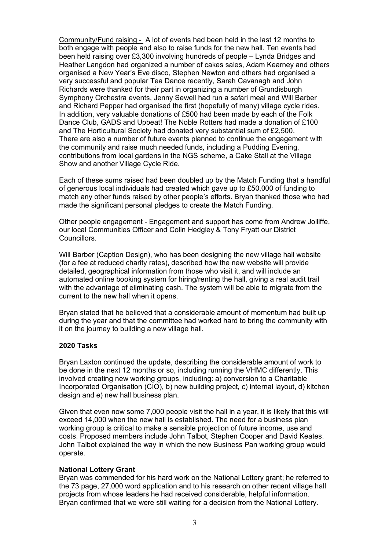Community/Fund raising - A lot of events had been held in the last 12 months to both engage with people and also to raise funds for the new hall. Ten events had been held raising over £3,300 involving hundreds of people – Lynda Bridges and Heather Langdon had organized a number of cakes sales, Adam Kearney and others organised a New Year's Eve disco, Stephen Newton and others had organised a very successful and popular Tea Dance recently, Sarah Cavanagh and John Richards were thanked for their part in organizing a number of Grundisburgh Symphony Orchestra events, Jenny Sewell had run a safari meal and Will Barber and Richard Pepper had organised the first (hopefully of many) village cycle rides. In addition, very valuable donations of £500 had been made by each of the Folk Dance Club, GADS and Upbeat! The Noble Rotters had made a donation of £100 and The Horticultural Society had donated very substantial sum of £2,500. There are also a number of future events planned to continue the engagement with the community and raise much needed funds, including a Pudding Evening, contributions from local gardens in the NGS scheme, a Cake Stall at the Village Show and another Village Cycle Ride.

Each of these sums raised had been doubled up by the Match Funding that a handful of generous local individuals had created which gave up to £50,000 of funding to match any other funds raised by other people's efforts. Bryan thanked those who had made the significant personal pledges to create the Match Funding.

Other people engagement - Engagement and support has come from Andrew Jolliffe, our local Communities Officer and Colin Hedgley & Tony Fryatt our District Councillors.

Will Barber (Caption Design), who has been designing the new village hall website (for a fee at reduced charity rates), described how the new website will provide detailed, geographical information from those who visit it, and will include an automated online booking system for hiring/renting the hall, giving a real audit trail with the advantage of eliminating cash. The system will be able to migrate from the current to the new hall when it opens.

Bryan stated that he believed that a considerable amount of momentum had built up during the year and that the committee had worked hard to bring the community with it on the journey to building a new village hall.

#### **2020 Tasks**

Bryan Laxton continued the update, describing the considerable amount of work to be done in the next 12 months or so, including running the VHMC differently. This involved creating new working groups, including: a) conversion to a Charitable Incorporated Organisation (CIO), b) new building project, c) internal layout, d) kitchen design and e) new hall business plan.

Given that even now some 7,000 people visit the hall in a year, it is likely that this will exceed 14,000 when the new hall is established. The need for a business plan working group is critical to make a sensible projection of future income, use and costs. Proposed members include John Talbot, Stephen Cooper and David Keates. John Talbot explained the way in which the new Business Pan working group would operate.

## **National Lottery Grant**

Bryan was commended for his hard work on the National Lottery grant; he referred to the 73 page, 27,000 word application and to his research on other recent village hall projects from whose leaders he had received considerable, helpful information. Bryan confirmed that we were still waiting for a decision from the National Lottery.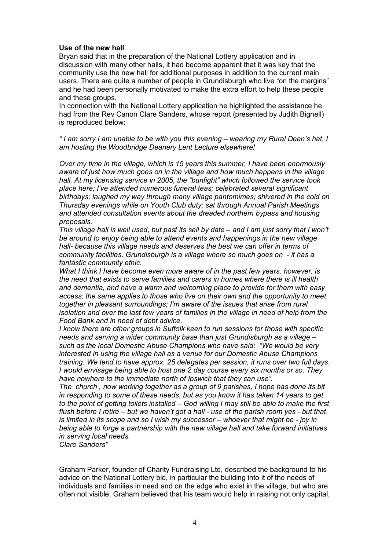### **Use of the new hall**

Bryan said that in the preparation of the National Lottery application and in discussion with many other halls, it had become apparent that it was key that the community use the new hall for additional purposes in addition to the current main users. There are quite a number of people in Grundisburgh who live "on the margins" and he had been personally motivated to make the extra effort to help these people and these groups.

In connection with the National Lottery application he highlighted the assistance he had from the Rev Canon Clare Sanders, whose report (presented by Judith Bignell) is reproduced below:

*" I am sorry I am unable to be with you this evening – wearing my Rural Dean's hat, I am hosting the Woodbridge Deanery Lent Lecture elsewhere!*

*Over my time in the village, which is 15 years this summer, I have been enormously aware of just how much goes on in the village and how much happens in the village hall. At my licensing service in 2005, the "bunfight" which followed the service took place here; I've attended numerous funeral teas; celebrated several significant birthdays; laughed my way through many village pantomimes; shivered in the cold on Thursday evenings while on Youth Club duty; sat through Annual Parish Meetings and attended consultation events about the dreaded northern bypass and housing proposals.*

*This village hall is well used, but past its sell by date – and I am just sorry that I won't be around to enjoy being able to attend events and happenings in the new village hall- because this village needs and deserves the best we can offer in terms of community facilities. Grundisburgh is a village where so much goes on - it has a fantastic community ethic.*

*What I think I have become even more aware of in the past few years, however, is the need that exists to serve families and carers in homes where there is ill health and dementia, and have a warm and welcoming place to provide for them with easy access; the same applies to those who live on their own and the opportunity to meet together in pleasant surroundings; I'm aware of the issues that arise from rural isolation and over the last few years of families in the village in need of help from the Food Bank and in need of debt advice.* 

*I know there are other groups in Suffolk keen to run sessions for those with specific needs and serving a wider community base than just Grundisburgh as a village – such as the local Domestic Abuse Champions who have said: "We would be very interested in using the village hall as a venue for our Domestic Abuse Champions training. We tend to have approx. 25 delegates per session, it runs over two full days. I would envisage being able to host one 2 day course every six months or so. They have nowhere to the immediate north of Ipswich that they can use".*

*The church , now working together as a group of 9 parishes, I hope has done its bit in responding to some of these needs, but as you know it has taken 14 years to get to the point of getting toilets installed – God willing I may still be able to make the first flush before I retire – but we haven't got a hall - use of the parish room yes - but that is limited in its scope and so I wish my successor – whoever that might be - joy in being able to forge a partnership with the new village hall and take forward initiatives in serving local needs.*

*Clare Sanders"*

Graham Parker, founder of Charity Fundraising Ltd, described the background to his advice on the National Lottery bid, in particular the building into it of the needs of individuals and families in need and on the edge who exist in the village, but who are often not visible. Graham believed that his team would help in raising not only capital,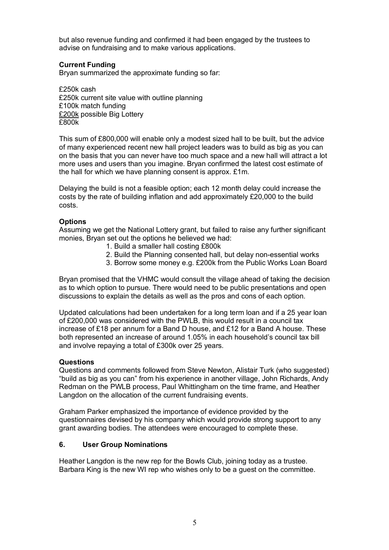but also revenue funding and confirmed it had been engaged by the trustees to advise on fundraising and to make various applications.

## **Current Funding**

Bryan summarized the approximate funding so far:

£250k cash £250k current site value with outline planning £100k match funding £200k possible Big Lottery £800k

This sum of £800,000 will enable only a modest sized hall to be built, but the advice of many experienced recent new hall project leaders was to build as big as you can on the basis that you can never have too much space and a new hall will attract a lot more uses and users than you imagine. Bryan confirmed the latest cost estimate of the hall for which we have planning consent is approx. £1m.

Delaying the build is not a feasible option; each 12 month delay could increase the costs by the rate of building inflation and add approximately £20,000 to the build costs.

### **Options**

Assuming we get the National Lottery grant, but failed to raise any further significant monies, Bryan set out the options he believed we had:

- 1. Build a smaller hall costing £800k
- 2. Build the Planning consented hall, but delay non-essential works
- 3. Borrow some money e.g. £200k from the Public Works Loan Board

Bryan promised that the VHMC would consult the village ahead of taking the decision as to which option to pursue. There would need to be public presentations and open discussions to explain the details as well as the pros and cons of each option.

Updated calculations had been undertaken for a long term loan and if a 25 year loan of £200,000 was considered with the PWLB, this would result in a council tax increase of £18 per annum for a Band D house, and £12 for a Band A house. These both represented an increase of around 1.05% in each household's council tax bill and involve repaying a total of £300k over 25 years.

#### **Questions**

Questions and comments followed from Steve Newton, Alistair Turk (who suggested) "build as big as you can" from his experience in another village, John Richards, Andy Redman on the PWLB process, Paul Whittingham on the time frame, and Heather Langdon on the allocation of the current fundraising events.

Graham Parker emphasized the importance of evidence provided by the questionnaires devised by his company which would provide strong support to any grant awarding bodies. The attendees were encouraged to complete these.

#### **6. User Group Nominations**

Heather Langdon is the new rep for the Bowls Club, joining today as a trustee. Barbara King is the new WI rep who wishes only to be a guest on the committee.